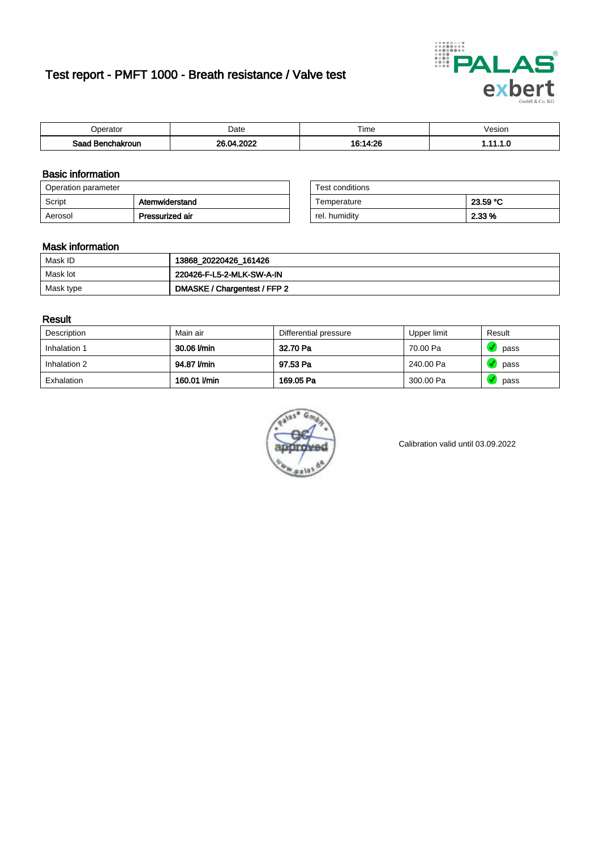# Test report - PMFT 1000 - Breath resistance / Valve test



| <b>'</b> perator                | Date       | $- \cdot$<br><b>Time</b> | esion |
|---------------------------------|------------|--------------------------|-------|
| Saad<br><b>nchakroun</b><br>. . | റററ<br>ne. | $\sim 14.00$             | .     |

### Basic information

| Operation parameter |                 | Test conditions |          |
|---------------------|-----------------|-----------------|----------|
| Script              | Atemwiderstand  | Temperature     | 23.59 °C |
| Aerosol             | Pressurized air | rel. humidity   | 2.33 %   |

| Test conditions |          |
|-----------------|----------|
| Temperature     | 23.59 °C |
| rel. humidity   | 2.33 %   |

#### Mask information

| Mask ID   | 13868_20220426_161426        |
|-----------|------------------------------|
| Mask lot  | 220426-F-L5-2-MLK-SW-A-IN    |
| Mask type | DMASKE / Chargentest / FFP 2 |

### Result

| Description  | Main air     | Differential pressure | Upper limit | Result |
|--------------|--------------|-----------------------|-------------|--------|
| Inhalation 1 | 30.06 l/min  | 32.70 Pa              | 70.00 Pa    | pass   |
| Inhalation 2 | 94.87 l/min  | 97.53 Pa              | 240.00 Pa   | pass   |
| Exhalation   | 160.01 l/min | 169.05 Pa             | 300.00 Pa   | pass   |



Calibration valid until 03.09.2022